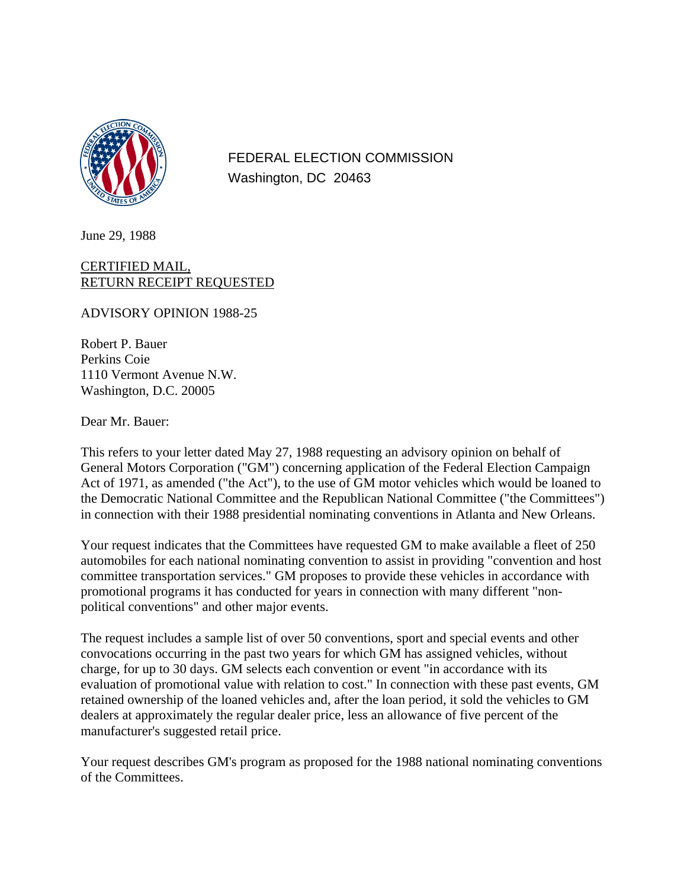

FEDERAL ELECTION COMMISSION Washington, DC 20463

June 29, 1988

## CERTIFIED MAIL, RETURN RECEIPT REQUESTED

ADVISORY OPINION 1988-25

Robert P. Bauer Perkins Coie 1110 Vermont Avenue N.W. Washington, D.C. 20005

Dear Mr. Bauer:

This refers to your letter dated May 27, 1988 requesting an advisory opinion on behalf of General Motors Corporation ("GM") concerning application of the Federal Election Campaign Act of 1971, as amended ("the Act"), to the use of GM motor vehicles which would be loaned to the Democratic National Committee and the Republican National Committee ("the Committees") in connection with their 1988 presidential nominating conventions in Atlanta and New Orleans.

Your request indicates that the Committees have requested GM to make available a fleet of 250 automobiles for each national nominating convention to assist in providing "convention and host committee transportation services." GM proposes to provide these vehicles in accordance with promotional programs it has conducted for years in connection with many different "nonpolitical conventions" and other major events.

The request includes a sample list of over 50 conventions, sport and special events and other convocations occurring in the past two years for which GM has assigned vehicles, without charge, for up to 30 days. GM selects each convention or event "in accordance with its evaluation of promotional value with relation to cost." In connection with these past events, GM retained ownership of the loaned vehicles and, after the loan period, it sold the vehicles to GM dealers at approximately the regular dealer price, less an allowance of five percent of the manufacturer's suggested retail price.

Your request describes GM's program as proposed for the 1988 national nominating conventions of the Committees.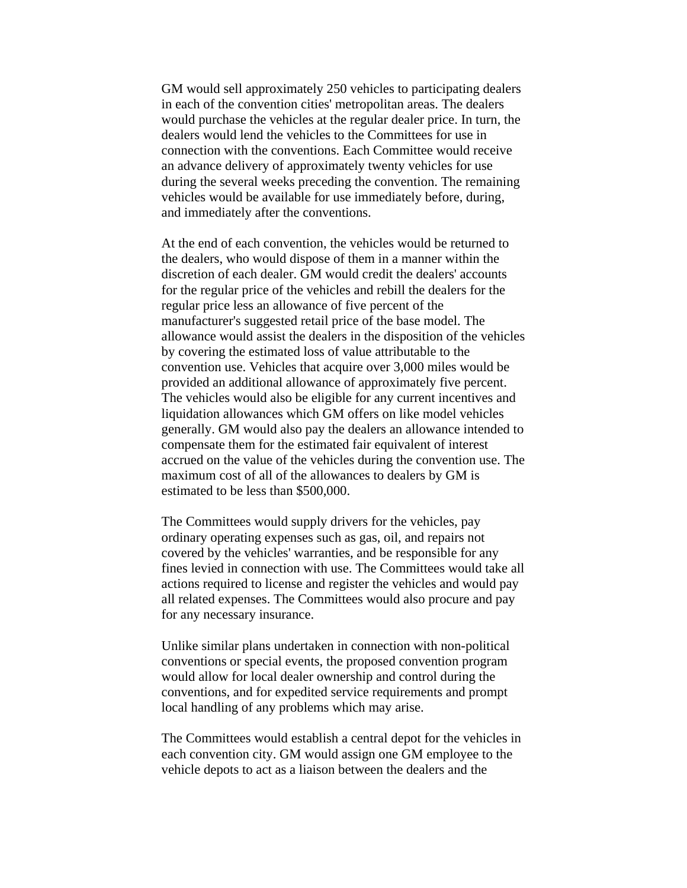GM would sell approximately 250 vehicles to participating dealers in each of the convention cities' metropolitan areas. The dealers would purchase the vehicles at the regular dealer price. In turn, the dealers would lend the vehicles to the Committees for use in connection with the conventions. Each Committee would receive an advance delivery of approximately twenty vehicles for use during the several weeks preceding the convention. The remaining vehicles would be available for use immediately before, during, and immediately after the conventions.

At the end of each convention, the vehicles would be returned to the dealers, who would dispose of them in a manner within the discretion of each dealer. GM would credit the dealers' accounts for the regular price of the vehicles and rebill the dealers for the regular price less an allowance of five percent of the manufacturer's suggested retail price of the base model. The allowance would assist the dealers in the disposition of the vehicles by covering the estimated loss of value attributable to the convention use. Vehicles that acquire over 3,000 miles would be provided an additional allowance of approximately five percent. The vehicles would also be eligible for any current incentives and liquidation allowances which GM offers on like model vehicles generally. GM would also pay the dealers an allowance intended to compensate them for the estimated fair equivalent of interest accrued on the value of the vehicles during the convention use. The maximum cost of all of the allowances to dealers by GM is estimated to be less than \$500,000.

The Committees would supply drivers for the vehicles, pay ordinary operating expenses such as gas, oil, and repairs not covered by the vehicles' warranties, and be responsible for any fines levied in connection with use. The Committees would take all actions required to license and register the vehicles and would pay all related expenses. The Committees would also procure and pay for any necessary insurance.

Unlike similar plans undertaken in connection with non-political conventions or special events, the proposed convention program would allow for local dealer ownership and control during the conventions, and for expedited service requirements and prompt local handling of any problems which may arise.

The Committees would establish a central depot for the vehicles in each convention city. GM would assign one GM employee to the vehicle depots to act as a liaison between the dealers and the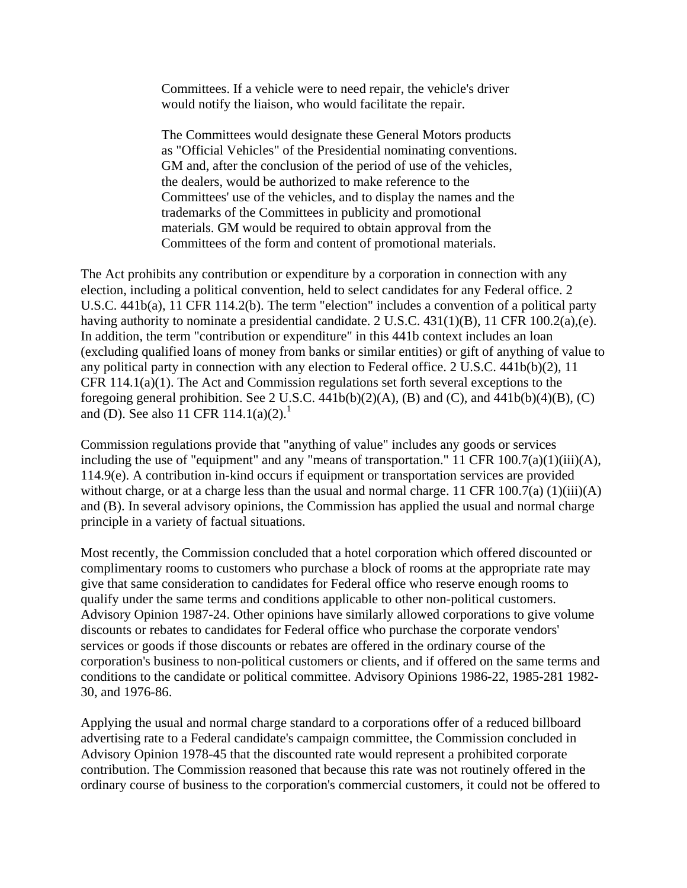Committees. If a vehicle were to need repair, the vehicle's driver would notify the liaison, who would facilitate the repair.

The Committees would designate these General Motors products as "Official Vehicles" of the Presidential nominating conventions. GM and, after the conclusion of the period of use of the vehicles, the dealers, would be authorized to make reference to the Committees' use of the vehicles, and to display the names and the trademarks of the Committees in publicity and promotional materials. GM would be required to obtain approval from the Committees of the form and content of promotional materials.

The Act prohibits any contribution or expenditure by a corporation in connection with any election, including a political convention, held to select candidates for any Federal office. 2 U.S.C. 441b(a), 11 CFR 114.2(b). The term "election" includes a convention of a political party having authority to nominate a presidential candidate. 2 U.S.C. 431(1)(B), 11 CFR 100.2(a),(e). In addition, the term "contribution or expenditure" in this 441b context includes an loan (excluding qualified loans of money from banks or similar entities) or gift of anything of value to any political party in connection with any election to Federal office. 2 U.S.C. 441b(b)(2), 11 CFR 114.1(a)(1). The Act and Commission regulations set forth several exceptions to the foregoing general prohibition. See 2 U.S.C.  $441b(b)(2)(A)$ , (B) and (C), and  $441b(b)(4)(B)$ , (C) and (D). See also 11 CFR 114.1(a)(2).<sup>1</sup>

Commission regulations provide that "anything of value" includes any goods or services including the use of "equipment" and any "means of transportation." 11 CFR  $100.7(a)(1)(iii)(A)$ , 114.9(e). A contribution in-kind occurs if equipment or transportation services are provided without charge, or at a charge less than the usual and normal charge. 11 CFR 100.7(a)  $(1)(iii)(A)$ and (B). In several advisory opinions, the Commission has applied the usual and normal charge principle in a variety of factual situations.

Most recently, the Commission concluded that a hotel corporation which offered discounted or complimentary rooms to customers who purchase a block of rooms at the appropriate rate may give that same consideration to candidates for Federal office who reserve enough rooms to qualify under the same terms and conditions applicable to other non-political customers. Advisory Opinion 1987-24. Other opinions have similarly allowed corporations to give volume discounts or rebates to candidates for Federal office who purchase the corporate vendors' services or goods if those discounts or rebates are offered in the ordinary course of the corporation's business to non-political customers or clients, and if offered on the same terms and conditions to the candidate or political committee. Advisory Opinions 1986-22, 1985-281 1982- 30, and 1976-86.

Applying the usual and normal charge standard to a corporations offer of a reduced billboard advertising rate to a Federal candidate's campaign committee, the Commission concluded in Advisory Opinion 1978-45 that the discounted rate would represent a prohibited corporate contribution. The Commission reasoned that because this rate was not routinely offered in the ordinary course of business to the corporation's commercial customers, it could not be offered to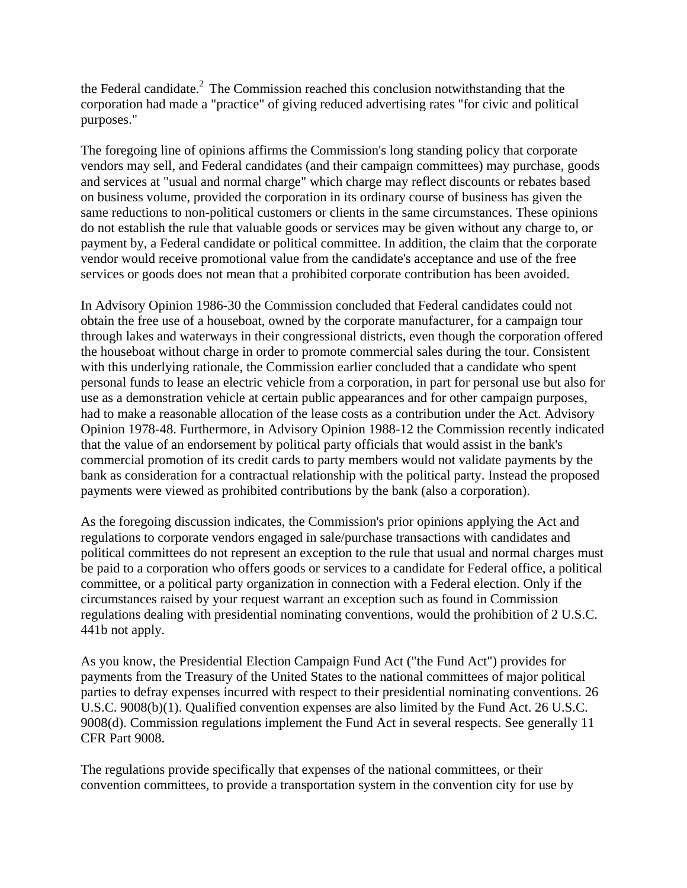the Federal candidate.<sup>2</sup> The Commission reached this conclusion notwithstanding that the corporation had made a "practice" of giving reduced advertising rates "for civic and political purposes."

The foregoing line of opinions affirms the Commission's long standing policy that corporate vendors may sell, and Federal candidates (and their campaign committees) may purchase, goods and services at "usual and normal charge" which charge may reflect discounts or rebates based on business volume, provided the corporation in its ordinary course of business has given the same reductions to non-political customers or clients in the same circumstances. These opinions do not establish the rule that valuable goods or services may be given without any charge to, or payment by, a Federal candidate or political committee. In addition, the claim that the corporate vendor would receive promotional value from the candidate's acceptance and use of the free services or goods does not mean that a prohibited corporate contribution has been avoided.

In Advisory Opinion 1986-30 the Commission concluded that Federal candidates could not obtain the free use of a houseboat, owned by the corporate manufacturer, for a campaign tour through lakes and waterways in their congressional districts, even though the corporation offered the houseboat without charge in order to promote commercial sales during the tour. Consistent with this underlying rationale, the Commission earlier concluded that a candidate who spent personal funds to lease an electric vehicle from a corporation, in part for personal use but also for use as a demonstration vehicle at certain public appearances and for other campaign purposes, had to make a reasonable allocation of the lease costs as a contribution under the Act. Advisory Opinion 1978-48. Furthermore, in Advisory Opinion 1988-12 the Commission recently indicated that the value of an endorsement by political party officials that would assist in the bank's commercial promotion of its credit cards to party members would not validate payments by the bank as consideration for a contractual relationship with the political party. Instead the proposed payments were viewed as prohibited contributions by the bank (also a corporation).

As the foregoing discussion indicates, the Commission's prior opinions applying the Act and regulations to corporate vendors engaged in sale/purchase transactions with candidates and political committees do not represent an exception to the rule that usual and normal charges must be paid to a corporation who offers goods or services to a candidate for Federal office, a political committee, or a political party organization in connection with a Federal election. Only if the circumstances raised by your request warrant an exception such as found in Commission regulations dealing with presidential nominating conventions, would the prohibition of 2 U.S.C. 441b not apply.

As you know, the Presidential Election Campaign Fund Act ("the Fund Act") provides for payments from the Treasury of the United States to the national committees of major political parties to defray expenses incurred with respect to their presidential nominating conventions. 26 U.S.C. 9008(b)(1). Qualified convention expenses are also limited by the Fund Act. 26 U.S.C. 9008(d). Commission regulations implement the Fund Act in several respects. See generally 11 CFR Part 9008.

The regulations provide specifically that expenses of the national committees, or their convention committees, to provide a transportation system in the convention city for use by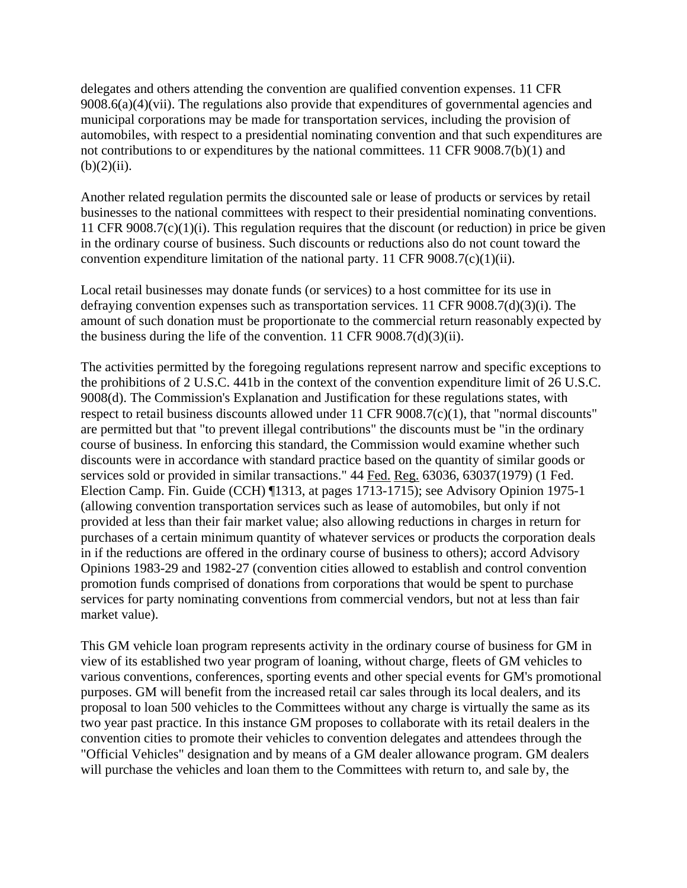delegates and others attending the convention are qualified convention expenses. 11 CFR  $9008.6(a)(4)(vii)$ . The regulations also provide that expenditures of governmental agencies and municipal corporations may be made for transportation services, including the provision of automobiles, with respect to a presidential nominating convention and that such expenditures are not contributions to or expenditures by the national committees. 11 CFR 9008.7(b)(1) and  $(b)(2)(ii)$ .

Another related regulation permits the discounted sale or lease of products or services by retail businesses to the national committees with respect to their presidential nominating conventions. 11 CFR 9008.7(c)(1)(i). This regulation requires that the discount (or reduction) in price be given in the ordinary course of business. Such discounts or reductions also do not count toward the convention expenditure limitation of the national party. 11 CFR  $9008.7(c)(1)(ii)$ .

Local retail businesses may donate funds (or services) to a host committee for its use in defraying convention expenses such as transportation services. 11 CFR 9008.7(d)(3)(i). The amount of such donation must be proportionate to the commercial return reasonably expected by the business during the life of the convention. 11 CFR  $9008.7(d)(3)(ii)$ .

The activities permitted by the foregoing regulations represent narrow and specific exceptions to the prohibitions of 2 U.S.C. 441b in the context of the convention expenditure limit of 26 U.S.C. 9008(d). The Commission's Explanation and Justification for these regulations states, with respect to retail business discounts allowed under 11 CFR 9008.7(c)(1), that "normal discounts" are permitted but that "to prevent illegal contributions" the discounts must be "in the ordinary course of business. In enforcing this standard, the Commission would examine whether such discounts were in accordance with standard practice based on the quantity of similar goods or services sold or provided in similar transactions." 44 Fed. Reg. 63036, 63037(1979) (1 Fed. Election Camp. Fin. Guide (CCH) ¶1313, at pages 1713-1715); see Advisory Opinion 1975-1 (allowing convention transportation services such as lease of automobiles, but only if not provided at less than their fair market value; also allowing reductions in charges in return for purchases of a certain minimum quantity of whatever services or products the corporation deals in if the reductions are offered in the ordinary course of business to others); accord Advisory Opinions 1983-29 and 1982-27 (convention cities allowed to establish and control convention promotion funds comprised of donations from corporations that would be spent to purchase services for party nominating conventions from commercial vendors, but not at less than fair market value).

This GM vehicle loan program represents activity in the ordinary course of business for GM in view of its established two year program of loaning, without charge, fleets of GM vehicles to various conventions, conferences, sporting events and other special events for GM's promotional purposes. GM will benefit from the increased retail car sales through its local dealers, and its proposal to loan 500 vehicles to the Committees without any charge is virtually the same as its two year past practice. In this instance GM proposes to collaborate with its retail dealers in the convention cities to promote their vehicles to convention delegates and attendees through the "Official Vehicles" designation and by means of a GM dealer allowance program. GM dealers will purchase the vehicles and loan them to the Committees with return to, and sale by, the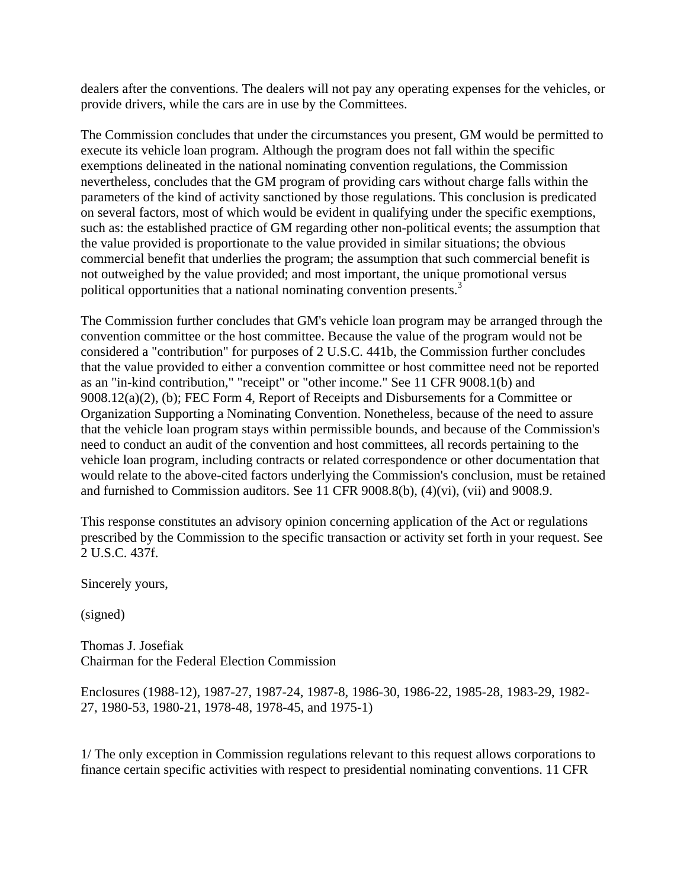dealers after the conventions. The dealers will not pay any operating expenses for the vehicles, or provide drivers, while the cars are in use by the Committees.

The Commission concludes that under the circumstances you present, GM would be permitted to execute its vehicle loan program. Although the program does not fall within the specific exemptions delineated in the national nominating convention regulations, the Commission nevertheless, concludes that the GM program of providing cars without charge falls within the parameters of the kind of activity sanctioned by those regulations. This conclusion is predicated on several factors, most of which would be evident in qualifying under the specific exemptions, such as: the established practice of GM regarding other non-political events; the assumption that the value provided is proportionate to the value provided in similar situations; the obvious commercial benefit that underlies the program; the assumption that such commercial benefit is not outweighed by the value provided; and most important, the unique promotional versus political opportunities that a national nominating convention presents.<sup>3</sup>

The Commission further concludes that GM's vehicle loan program may be arranged through the convention committee or the host committee. Because the value of the program would not be considered a "contribution" for purposes of 2 U.S.C. 441b, the Commission further concludes that the value provided to either a convention committee or host committee need not be reported as an "in-kind contribution," "receipt" or "other income." See 11 CFR 9008.1(b) and 9008.12(a)(2), (b); FEC Form 4, Report of Receipts and Disbursements for a Committee or Organization Supporting a Nominating Convention. Nonetheless, because of the need to assure that the vehicle loan program stays within permissible bounds, and because of the Commission's need to conduct an audit of the convention and host committees, all records pertaining to the vehicle loan program, including contracts or related correspondence or other documentation that would relate to the above-cited factors underlying the Commission's conclusion, must be retained and furnished to Commission auditors. See 11 CFR 9008.8(b), (4)(vi), (vii) and 9008.9.

This response constitutes an advisory opinion concerning application of the Act or regulations prescribed by the Commission to the specific transaction or activity set forth in your request. See 2 U.S.C. 437f.

Sincerely yours,

(signed)

Thomas J. Josefiak Chairman for the Federal Election Commission

Enclosures (1988-12), 1987-27, 1987-24, 1987-8, 1986-30, 1986-22, 1985-28, 1983-29, 1982- 27, 1980-53, 1980-21, 1978-48, 1978-45, and 1975-1)

1/ The only exception in Commission regulations relevant to this request allows corporations to finance certain specific activities with respect to presidential nominating conventions. 11 CFR